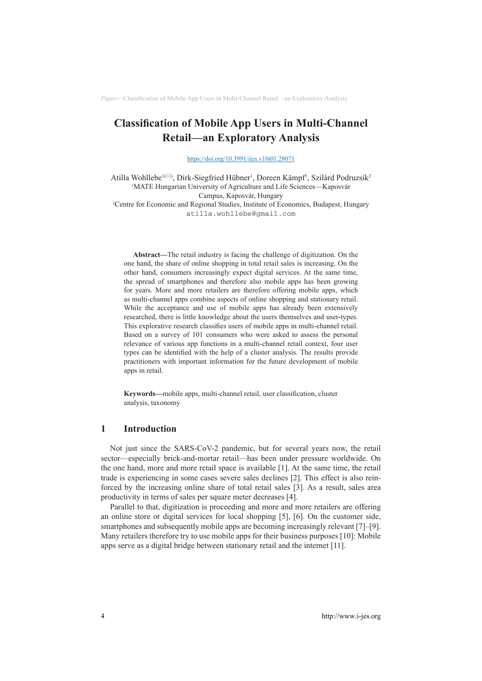# **Classification of Mobile App Users in Multi-Channel Retail—an Exploratory Analysis**

<https://doi.org/10.3991/ijes.v10i01.28071>

Atilla Wohllebe<sup>1(X)</sup>, Dirk-Siegfried Hübner<sup>1</sup>, Doreen Kämpf<sup>1</sup>, Szilárd Podruzsik<sup>2</sup> <sup>1</sup>MATE Hungarian University of Agriculture and Life Sciences—Kaposvár Campus, Kaposvár, Hungary 2 Centre for Economic and Regional Studies, Institute of Economics, Budapest, Hungary [atilla.wohllebe@gmail.com](mailto:atilla.wohllebe@gmail.com)

**Abstract—**The retail industry is facing the challenge of digitization. On the one hand, the share of online shopping in total retail sales is increasing. On the other hand, consumers increasingly expect digital services. At the same time, the spread of smartphones and therefore also mobile apps has been growing for years. More and more retailers are therefore offering mobile apps, which as multi-channel apps combine aspects of online shopping and stationary retail. While the acceptance and use of mobile apps has already been extensively researched, there is little knowledge about the users themselves and user-types. This explorative research classifies users of mobile apps in multi-channel retail. Based on a survey of 101 consumers who were asked to assess the personal relevance of various app functions in a multi-channel retail context, four user types can be identified with the help of a cluster analysis. The results provide practitioners with important information for the future development of mobile apps in retail.

**Keywords—**mobile apps, multi-channel retail, user classification, cluster analysis, taxonomy

# **1 Introduction**

Not just since the SARS-CoV-2 pandemic, but for several years now, the retail sector—especially brick-and-mortar retail—has been under pressure worldwide. On the one hand, more and more retail space is available [1]. At the same time, the retail trade is experiencing in some cases severe sales declines [2]. This effect is also reinforced by the increasing online share of total retail sales [3]. As a result, sales area productivity in terms of sales per square meter decreases [4].

Parallel to that, digitization is proceeding and more and more retailers are offering an online store or digital services for local shopping [5], [6]. On the customer side, smartphones and subsequently mobile apps are becoming increasingly relevant [7]–[9]. Many retailers therefore try to use mobile apps for their business purposes [10]: Mobile apps serve as a digital bridge between stationary retail and the internet [11].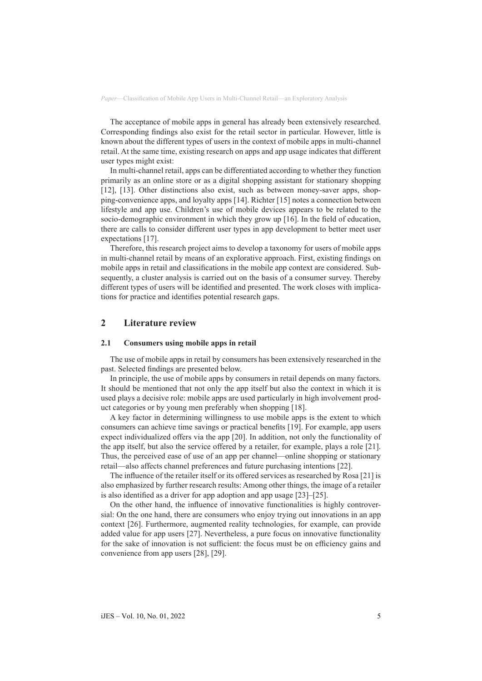The acceptance of mobile apps in general has already been extensively researched. Corresponding findings also exist for the retail sector in particular. However, little is known about the different types of users in the context of mobile apps in multi-channel retail. At the same time, existing research on apps and app usage indicates that different user types might exist:

In multi-channel retail, apps can be differentiated according to whether they function primarily as an online store or as a digital shopping assistant for stationary shopping [12], [13]. Other distinctions also exist, such as between money-saver apps, shopping-convenience apps, and loyalty apps [14]. Richter [15] notes a connection between lifestyle and app use. Children's use of mobile devices appears to be related to the socio-demographic environment in which they grow up [16]. In the field of education, there are calls to consider different user types in app development to better meet user expectations [17].

Therefore, this research project aims to develop a taxonomy for users of mobile apps in multi-channel retail by means of an explorative approach. First, existing findings on mobile apps in retail and classifications in the mobile app context are considered. Subsequently, a cluster analysis is carried out on the basis of a consumer survey. Thereby different types of users will be identified and presented. The work closes with implications for practice and identifies potential research gaps.

# **2 Literature review**

#### **2.1 Consumers using mobile apps in retail**

The use of mobile apps in retail by consumers has been extensively researched in the past. Selected findings are presented below.

In principle, the use of mobile apps by consumers in retail depends on many factors. It should be mentioned that not only the app itself but also the context in which it is used plays a decisive role: mobile apps are used particularly in high involvement product categories or by young men preferably when shopping [18].

A key factor in determining willingness to use mobile apps is the extent to which consumers can achieve time savings or practical benefits [19]. For example, app users expect individualized offers via the app [20]. In addition, not only the functionality of the app itself, but also the service offered by a retailer, for example, plays a role [21]. Thus, the perceived ease of use of an app per channel—online shopping or stationary retail—also affects channel preferences and future purchasing intentions [22].

The influence of the retailer itself or its offered services as researched by Rosa [21] is also emphasized by further research results: Among other things, the image of a retailer is also identified as a driver for app adoption and app usage [23]–[25].

On the other hand, the influence of innovative functionalities is highly controversial: On the one hand, there are consumers who enjoy trying out innovations in an app context [26]. Furthermore, augmented reality technologies, for example, can provide added value for app users [27]. Nevertheless, a pure focus on innovative functionality for the sake of innovation is not sufficient: the focus must be on efficiency gains and convenience from app users [28], [29].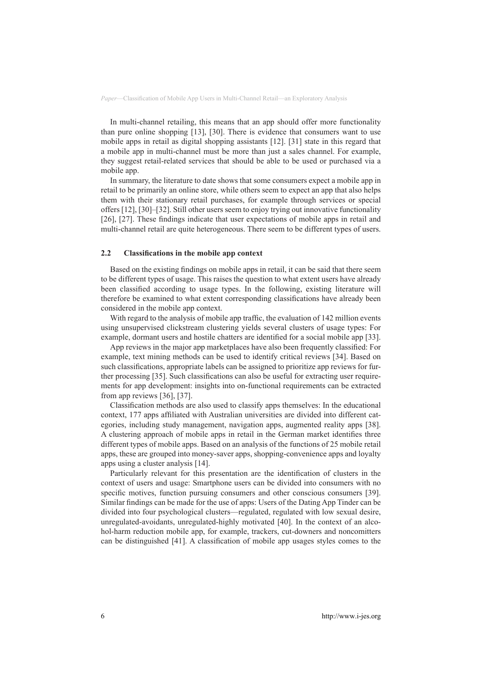In multi-channel retailing, this means that an app should offer more functionality than pure online shopping [13], [30]. There is evidence that consumers want to use mobile apps in retail as digital shopping assistants [12]. [31] state in this regard that a mobile app in multi-channel must be more than just a sales channel. For example, they suggest retail-related services that should be able to be used or purchased via a mobile app.

In summary, the literature to date shows that some consumers expect a mobile app in retail to be primarily an online store, while others seem to expect an app that also helps them with their stationary retail purchases, for example through services or special offers [12], [30]–[32]. Still other users seem to enjoy trying out innovative functionality [26], [27]. These findings indicate that user expectations of mobile apps in retail and multi-channel retail are quite heterogeneous. There seem to be different types of users.

#### **2.2 Classifications in the mobile app context**

Based on the existing findings on mobile apps in retail, it can be said that there seem to be different types of usage. This raises the question to what extent users have already been classified according to usage types. In the following, existing literature will therefore be examined to what extent corresponding classifications have already been considered in the mobile app context.

With regard to the analysis of mobile app traffic, the evaluation of 142 million events using unsupervised clickstream clustering yields several clusters of usage types: For example, dormant users and hostile chatters are identified for a social mobile app [33].

App reviews in the major app marketplaces have also been frequently classified: For example, text mining methods can be used to identify critical reviews [34]. Based on such classifications, appropriate labels can be assigned to prioritize app reviews for further processing [35]. Such classifications can also be useful for extracting user requirements for app development: insights into on-functional requirements can be extracted from app reviews [36], [37].

Classification methods are also used to classify apps themselves: In the educational context, 177 apps affiliated with Australian universities are divided into different categories, including study management, navigation apps, augmented reality apps [38]. A clustering approach of mobile apps in retail in the German market identifies three different types of mobile apps. Based on an analysis of the functions of 25 mobile retail apps, these are grouped into money-saver apps, shopping-convenience apps and loyalty apps using a cluster analysis [14].

Particularly relevant for this presentation are the identification of clusters in the context of users and usage: Smartphone users can be divided into consumers with no specific motives, function pursuing consumers and other conscious consumers [39]. Similar findings can be made for the use of apps: Users of the Dating App Tinder can be divided into four psychological clusters—regulated, regulated with low sexual desire, unregulated-avoidants, unregulated-highly motivated [40]. In the context of an alcohol-harm reduction mobile app, for example, trackers, cut-downers and noncomitters can be distinguished [41]. A classification of mobile app usages styles comes to the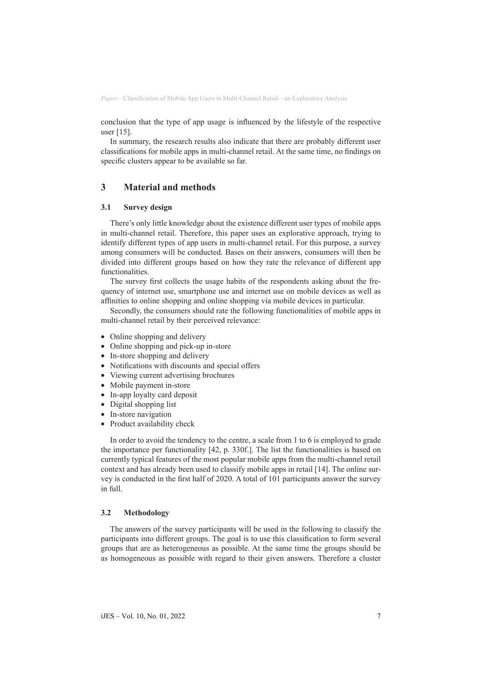conclusion that the type of app usage is influenced by the lifestyle of the respective user [15].

In summary, the research results also indicate that there are probably different user classifications for mobile apps in multi-channel retail. At the same time, no findings on specific clusters appear to be available so far.

## **3 Material and methods**

#### **3.1 Survey design**

There's only little knowledge about the existence different user types of mobile apps in multi-channel retail. Therefore, this paper uses an explorative approach, trying to identify different types of app users in multi-channel retail. For this purpose, a survey among consumers will be conducted. Bases on their answers, consumers will then be divided into different groups based on how they rate the relevance of different app functionalities.

The survey first collects the usage habits of the respondents asking about the frequency of internet use, smartphone use and internet use on mobile devices as well as affinities to online shopping and online shopping via mobile devices in particular.

Secondly, the consumers should rate the following functionalities of mobile apps in multi-channel retail by their perceived relevance:

- Online shopping and delivery
- Online shopping and pick-up in-store
- In-store shopping and delivery
- Notifications with discounts and special offers
- Viewing current advertising brochures
- Mobile payment in-store
- In-app loyalty card deposit
- Digital shopping list
- In-store navigation
- Product availability check

In order to avoid the tendency to the centre, a scale from 1 to 6 is employed to grade the importance per functionality [42, p. 330f.]. The list the functionalities is based on currently typical features of the most popular mobile apps from the multi-channel retail context and has already been used to classify mobile apps in retail [14]. The online survey is conducted in the first half of 2020. A total of 101 participants answer the survey in full.

#### **3.2 Methodology**

The answers of the survey participants will be used in the following to classify the participants into different groups. The goal is to use this classification to form several groups that are as heterogeneous as possible. At the same time the groups should be as homogeneous as possible with regard to their given answers. Therefore a cluster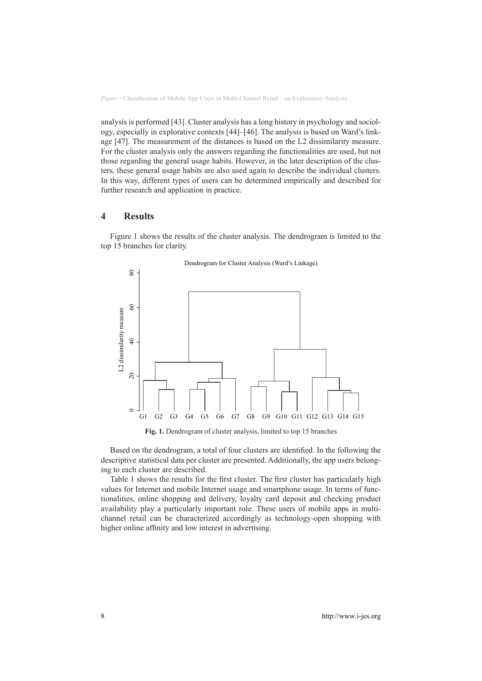analysis is performed [43]. Cluster analysis has a long history in psychology and sociology, especially in explorative contexts [44]–[46]. The analysis is based on Ward's linkage [47]. The measurement of the distances is based on the L2 dissimilarity measure. For the cluster analysis only the answers regarding the functionalities are used, but not those regarding the general usage habits. However, in the later description of the clusters, these general usage habits are also used again to describe the individual clusters. In this way, different types of users can be determined empirically and described for further research and application in practice.

### **4 Results**

Figure 1 shows the results of the cluster analysis. The dendrogram is limited to the top 15 branches for clarity.



**Fig. 1.** Dendrogram of cluster analysis, limited to top 15 branches

Based on the dendrogram, a total of four clusters are identified. In the following the descriptive statistical data per cluster are presented. Additionally, the app users belonging to each cluster are described.

Table 1 shows the results for the first cluster. The first cluster has particularly high values for Internet and mobile Internet usage and smartphone usage. In terms of functionalities, online shopping and delivery, loyalty card deposit and checking product availability play a particularly important role. These users of mobile apps in multichannel retail can be characterized accordingly as technology-open shopping with higher online affinity and low interest in advertising.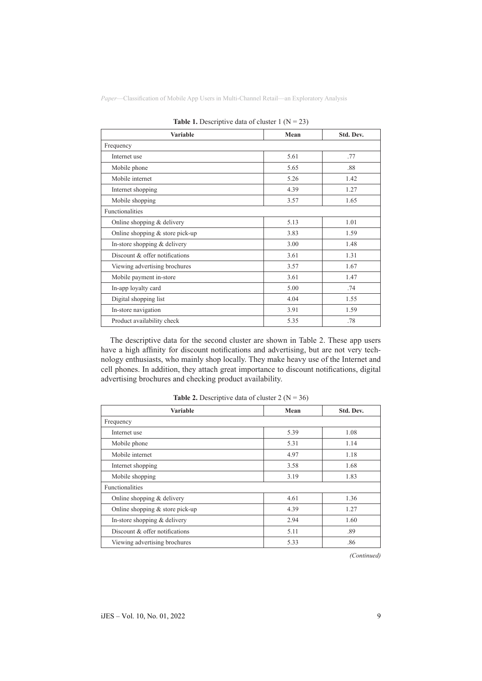| <b>Variable</b>                   | Mean | Std. Dev. |
|-----------------------------------|------|-----------|
| Frequency                         |      |           |
| Internet use                      | 5.61 | .77       |
| Mobile phone                      | 5.65 | .88       |
| Mobile internet                   | 5.26 | 1.42      |
| Internet shopping                 | 4.39 | 1.27      |
| Mobile shopping                   | 3.57 | 1.65      |
| Functionalities                   |      |           |
| Online shopping & delivery        | 5.13 | 1.01      |
| Online shopping $&$ store pick-up | 3.83 | 1.59      |
| In-store shopping $&$ delivery    | 3.00 | 1.48      |
| Discount & offer notifications    | 3.61 | 1.31      |
| Viewing advertising brochures     | 3.57 | 1.67      |
| Mobile payment in-store           | 3.61 | 1.47      |
| In-app loyalty card               | 5.00 | .74       |
| Digital shopping list             | 4.04 | 1.55      |
| In-store navigation               | 3.91 | 1.59      |
| Product availability check        | 5.35 | .78       |

**Table 1.** Descriptive data of cluster 1  $(N = 23)$ 

The descriptive data for the second cluster are shown in Table 2. These app users have a high affinity for discount notifications and advertising, but are not very technology enthusiasts, who mainly shop locally. They make heavy use of the Internet and cell phones. In addition, they attach great importance to discount notifications, digital advertising brochures and checking product availability.

| <b>Variable</b>                   | Mean | Std. Dev. |
|-----------------------------------|------|-----------|
| Frequency                         |      |           |
| Internet use                      | 5.39 | 1.08      |
| Mobile phone                      | 5.31 | 1.14      |
| Mobile internet                   | 4.97 | 1.18      |
| Internet shopping                 | 3.58 | 1.68      |
| Mobile shopping                   | 3.19 | 1.83      |
| <b>Functionalities</b>            |      |           |
| Online shopping $&$ delivery      | 4.61 | 1.36      |
| Online shopping $&$ store pick-up | 4.39 | 1.27      |
| In-store shopping & delivery      | 2.94 | 1.60      |
| Discount & offer notifications    | 5.11 | .89       |
| Viewing advertising brochures     | 5.33 | .86       |

**Table 2.** Descriptive data of cluster  $2 (N = 36)$ 

*(Continued)*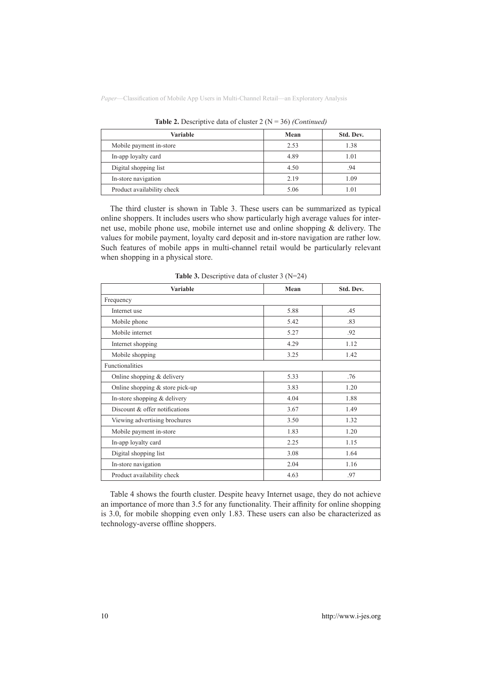| <b>Variable</b>            | Mean | Std. Dev. |  |
|----------------------------|------|-----------|--|
| Mobile payment in-store    | 2.53 | 1.38      |  |
| In-app loyalty card        | 4.89 | 1.01      |  |
| Digital shopping list      | 4.50 | .94       |  |
| In-store navigation        | 2.19 | 1.09      |  |
| Product availability check | 5.06 | 1.01      |  |

**Table 2.** Descriptive data of cluster 2 (N = 36) *(Continued)*

The third cluster is shown in Table 3. These users can be summarized as typical online shoppers. It includes users who show particularly high average values for internet use, mobile phone use, mobile internet use and online shopping & delivery. The values for mobile payment, loyalty card deposit and in-store navigation are rather low. Such features of mobile apps in multi-channel retail would be particularly relevant when shopping in a physical store.

| <b>Variable</b>                   | Mean | Std. Dev. |  |
|-----------------------------------|------|-----------|--|
| Frequency                         |      |           |  |
| Internet use                      | 5.88 | .45       |  |
| Mobile phone                      | 5.42 | .83       |  |
| Mobile internet                   | 5.27 | .92       |  |
| Internet shopping                 | 4.29 | 1.12      |  |
| Mobile shopping                   | 3.25 | 1.42      |  |
| Functionalities                   |      |           |  |
| Online shopping & delivery        | 5.33 | .76       |  |
| Online shopping $&$ store pick-up | 3.83 | 1.20      |  |
| In-store shopping $&$ delivery    | 4.04 | 1.88      |  |
| Discount & offer notifications    | 3.67 | 1.49      |  |
| Viewing advertising brochures     | 3.50 | 1.32      |  |
| Mobile payment in-store           | 1.83 | 1.20      |  |
| In-app loyalty card               | 2.25 | 1.15      |  |
| Digital shopping list             | 3.08 | 1.64      |  |
| In-store navigation               | 2.04 | 1.16      |  |
| Product availability check        | 4.63 | .97       |  |

**Table 3.** Descriptive data of cluster 3 (N=24)

Table 4 shows the fourth cluster. Despite heavy Internet usage, they do not achieve an importance of more than 3.5 for any functionality. Their affinity for online shopping is 3.0, for mobile shopping even only 1.83. These users can also be characterized as technology-averse offline shoppers.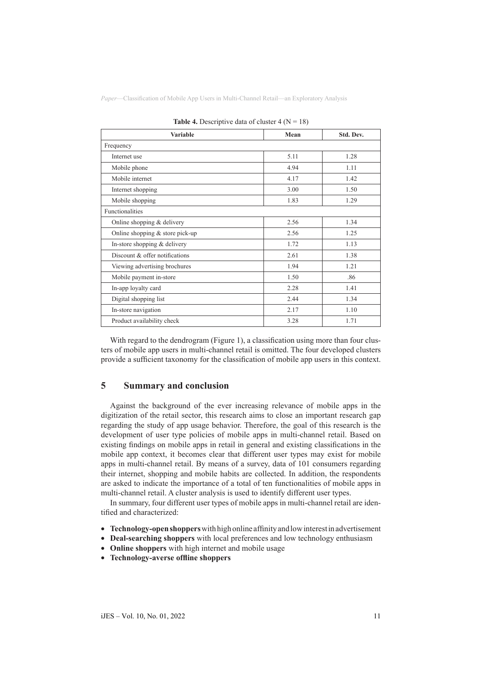| <b>Variable</b>                   | Mean | Std. Dev. |  |
|-----------------------------------|------|-----------|--|
| Frequency                         |      |           |  |
| Internet use                      | 5.11 | 1.28      |  |
| Mobile phone                      | 4.94 | 1.11      |  |
| Mobile internet                   | 4.17 | 1.42      |  |
| Internet shopping                 | 3.00 | 1.50      |  |
| Mobile shopping                   | 1.83 | 1.29      |  |
| Functionalities                   |      |           |  |
| Online shopping & delivery        | 2.56 | 1.34      |  |
| Online shopping $&$ store pick-up | 2.56 | 1.25      |  |
| In-store shopping $&$ delivery    | 1.72 | 1.13      |  |
| Discount & offer notifications    | 2.61 | 1.38      |  |
| Viewing advertising brochures     | 1.94 | 1.21      |  |
| Mobile payment in-store           | 1.50 | .86       |  |
| In-app loyalty card               | 2.28 | 1.41      |  |
| Digital shopping list             | 2.44 | 1.34      |  |
| In-store navigation               | 2.17 | 1.10      |  |
| Product availability check        | 3.28 | 1.71      |  |

|  |  |  | <b>Table 4.</b> Descriptive data of cluster 4 ( $N = 18$ ) |  |  |  |
|--|--|--|------------------------------------------------------------|--|--|--|
|--|--|--|------------------------------------------------------------|--|--|--|

With regard to the dendrogram (Figure 1), a classification using more than four clusters of mobile app users in multi-channel retail is omitted. The four developed clusters provide a sufficient taxonomy for the classification of mobile app users in this context.

# **5 Summary and conclusion**

Against the background of the ever increasing relevance of mobile apps in the digitization of the retail sector, this research aims to close an important research gap regarding the study of app usage behavior. Therefore, the goal of this research is the development of user type policies of mobile apps in multi-channel retail. Based on existing findings on mobile apps in retail in general and existing classifications in the mobile app context, it becomes clear that different user types may exist for mobile apps in multi-channel retail. By means of a survey, data of 101 consumers regarding their internet, shopping and mobile habits are collected. In addition, the respondents are asked to indicate the importance of a total of ten functionalities of mobile apps in multi-channel retail. A cluster analysis is used to identify different user types.

In summary, four different user types of mobile apps in multi-channel retail are identified and characterized:

- • **Technology-open shoppers** with high online affinity and low interest in advertisement
- • **Deal-searching shoppers** with local preferences and low technology enthusiasm
- • **Online shoppers** with high internet and mobile usage
- • **Technology-averse offline shoppers**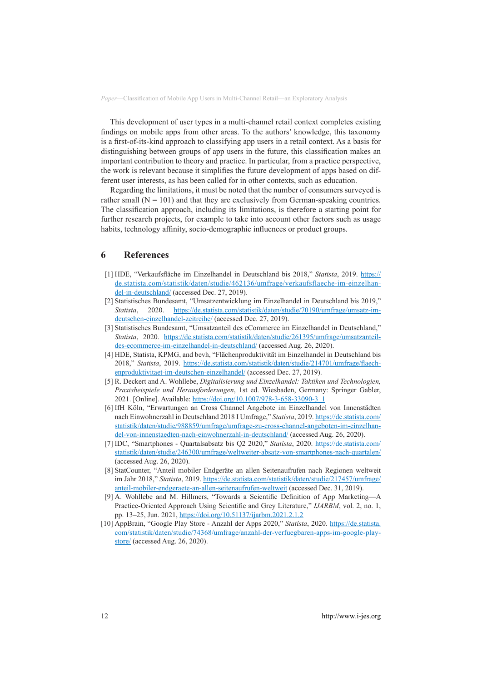This development of user types in a multi-channel retail context completes existing findings on mobile apps from other areas. To the authors' knowledge, this taxonomy is a first-of-its-kind approach to classifying app users in a retail context. As a basis for distinguishing between groups of app users in the future, this classification makes an important contribution to theory and practice. In particular, from a practice perspective, the work is relevant because it simplifies the future development of apps based on different user interests, as has been called for in other contexts, such as education.

Regarding the limitations, it must be noted that the number of consumers surveyed is rather small  $(N = 101)$  and that they are exclusively from German-speaking countries. The classification approach, including its limitations, is therefore a starting point for further research projects, for example to take into account other factors such as usage habits, technology affinity, socio-demographic influences or product groups.

## **6 References**

- [1] HDE, "Verkaufsfläche im Einzelhandel in Deutschland bis 2018," *Statista*, 2019. [https://](https://de.statista.com/statistik/daten/studie/462136/umfrage/verkaufsflaeche-im-einzelhandel-in-deutschland/) [de.statista.com/statistik/daten/studie/462136/umfrage/verkaufsflaeche-im-einzelhan](https://de.statista.com/statistik/daten/studie/462136/umfrage/verkaufsflaeche-im-einzelhandel-in-deutschland/)[del-in-deutschland/](https://de.statista.com/statistik/daten/studie/462136/umfrage/verkaufsflaeche-im-einzelhandel-in-deutschland/) (accessed Dec. 27, 2019).
- [2] Statistisches Bundesamt, "Umsatzentwicklung im Einzelhandel in Deutschland bis 2019," *Statista*, 2020. [https://de.statista.com/statistik/daten/studie/70190/umfrage/umsatz-im](https://de.statista.com/statistik/daten/studie/70190/umfrage/umsatz-im-deutschen-einzelhandel-zeitreihe/)[deutschen-einzelhandel-zeitreihe/](https://de.statista.com/statistik/daten/studie/70190/umfrage/umsatz-im-deutschen-einzelhandel-zeitreihe/) (accessed Dec. 27, 2019).
- [3] Statistisches Bundesamt, "Umsatzanteil des eCommerce im Einzelhandel in Deutschland," *Statista*, 2020. [https://de.statista.com/statistik/daten/studie/261395/umfrage/umsatzanteil](https://de.statista.com/statistik/daten/studie/261395/umfrage/umsatzanteil-des-ecommerce-im-einzelhandel-in-deutschland/)[des-ecommerce-im-einzelhandel-in-deutschland/](https://de.statista.com/statistik/daten/studie/261395/umfrage/umsatzanteil-des-ecommerce-im-einzelhandel-in-deutschland/) (accessed Aug. 26, 2020).
- [4] HDE, Statista, KPMG, and bevh, "Flächenproduktivität im Einzelhandel in Deutschland bis 2018," *Statista*, 2019. [https://de.statista.com/statistik/daten/studie/214701/umfrage/flaech](https://de.statista.com/statistik/daten/studie/214701/umfrage/flaechenproduktivitaet-im-deutschen-einzelhandel/)[enproduktivitaet-im-deutschen-einzelhandel/](https://de.statista.com/statistik/daten/studie/214701/umfrage/flaechenproduktivitaet-im-deutschen-einzelhandel/) (accessed Dec. 27, 2019).
- [5] R. Deckert and A. Wohllebe, *Digitalisierung und Einzelhandel: Taktiken und Technologien, Praxisbeispiele und Herausforderungen*, 1st ed. Wiesbaden, Germany: Springer Gabler, 2021. [Online]. Available: [https://doi.org/10.1007/978-3-658-33090-3\\_1](https://doi.org/10.1007/978-3-658-33090-3_1)
- [6] IfH Köln, "Erwartungen an Cross Channel Angebote im Einzelhandel von Innenstädten nach Einwohnerzahl in Deutschland 2018 I Umfrage," *Statista*, 2019. [https://de.statista.com/](https://de.statista.com/statistik/daten/studie/988859/umfrage/umfrage-zu-cross-channel-angeboten-im-einzelhandel-von-innenstaedten-nach-einwohnerzahl-in-deutschland/) [statistik/daten/studie/988859/umfrage/umfrage-zu-cross-channel-angeboten-im-einzelhan](https://de.statista.com/statistik/daten/studie/988859/umfrage/umfrage-zu-cross-channel-angeboten-im-einzelhandel-von-innenstaedten-nach-einwohnerzahl-in-deutschland/)[del-von-innenstaedten-nach-einwohnerzahl-in-deutschland/](https://de.statista.com/statistik/daten/studie/988859/umfrage/umfrage-zu-cross-channel-angeboten-im-einzelhandel-von-innenstaedten-nach-einwohnerzahl-in-deutschland/) (accessed Aug. 26, 2020).
- [7] IDC, "Smartphones Quartalsabsatz bis Q2 2020," *Statista*, 2020. [https://de.statista.com/](https://de.statista.com/statistik/daten/studie/246300/umfrage/weltweiter-absatz-von-smartphones-nach-quartalen/) [statistik/daten/studie/246300/umfrage/weltweiter-absatz-von-smartphones-nach-quartalen/](https://de.statista.com/statistik/daten/studie/246300/umfrage/weltweiter-absatz-von-smartphones-nach-quartalen/) (accessed Aug. 26, 2020).
- [8] StatCounter, "Anteil mobiler Endgeräte an allen Seitenaufrufen nach Regionen weltweit im Jahr 2018," *Statista*, 2019. [https://de.statista.com/statistik/daten/studie/217457/umfrage/](https://de.statista.com/statistik/daten/studie/217457/umfrage/anteil-mobiler-endgeraete-an-allen-seitenaufrufen-weltweit) [anteil-mobiler-endgeraete-an-allen-seitenaufrufen-weltweit](https://de.statista.com/statistik/daten/studie/217457/umfrage/anteil-mobiler-endgeraete-an-allen-seitenaufrufen-weltweit) (accessed Dec. 31, 2019).
- [9] A. Wohllebe and M. Hillmers, "Towards a Scientific Definition of App Marketing—A Practice-Oriented Approach Using Scientific and Grey Literature," *IJARBM*, vol. 2, no. 1, pp. 13–25, Jun. 2021, <https://doi.org/10.51137/ijarbm.2021.2.1.2>
- [10] AppBrain, "Google Play Store Anzahl der Apps 2020," *Statista*, 2020. [https://de.statista.](https://de.statista.com/statistik/daten/studie/74368/umfrage/anzahl-der-verfuegbaren-apps-im-google-play-store/) [com/statistik/daten/studie/74368/umfrage/anzahl-der-verfuegbaren-apps-im-google-play](https://de.statista.com/statistik/daten/studie/74368/umfrage/anzahl-der-verfuegbaren-apps-im-google-play-store/)[store/](https://de.statista.com/statistik/daten/studie/74368/umfrage/anzahl-der-verfuegbaren-apps-im-google-play-store/) (accessed Aug. 26, 2020).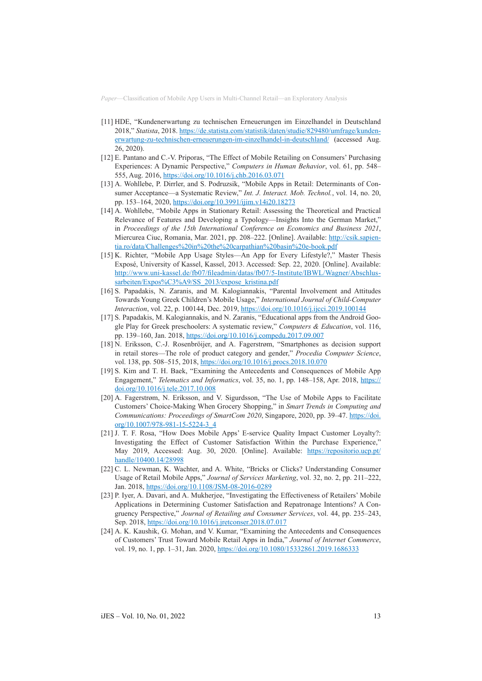- [11] HDE, "Kundenerwartung zu technischen Erneuerungen im Einzelhandel in Deutschland 2018," *Statista*, 2018. [https://de.statista.com/statistik/daten/studie/829480/umfrage/kunden](https://de.statista.com/statistik/daten/studie/829480/umfrage/kundenerwartung-zu-technischen-erneuerungen-im-einzelhandel-in-deutschland/)[erwartung-zu-technischen-erneuerungen-im-einzelhandel-in-deutschland/](https://de.statista.com/statistik/daten/studie/829480/umfrage/kundenerwartung-zu-technischen-erneuerungen-im-einzelhandel-in-deutschland/) (accessed Aug. 26, 2020).
- [12] E. Pantano and C.-V. Priporas, "The Effect of Mobile Retailing on Consumers' Purchasing Experiences: A Dynamic Perspective," *Computers in Human Behavior*, vol. 61, pp. 548– 555, Aug. 2016, <https://doi.org/10.1016/j.chb.2016.03.071>
- [13] A. Wohllebe, P. Dirrler, and S. Podruzsik, "Mobile Apps in Retail: Determinants of Consumer Acceptance—a Systematic Review," *Int. J. Interact. Mob. Technol.*, vol. 14, no. 20, pp. 153–164, 2020, <https://doi.org/10.3991/ijim.v14i20.18273>
- [14] A. Wohllebe, "Mobile Apps in Stationary Retail: Assessing the Theoretical and Practical Relevance of Features and Developing a Typology—Insights Into the German Market," in *Proceedings of the 15th International Conference on Economics and Business 2021*, Miercurea Ciuc, Romania, Mar. 2021, pp. 208–222. [Online]. Available: [http://csik.sapien](http://csik.sapientia.ro/data/Challenges%20in%20the%20carpathian%20basin%20e-book.pdf)[tia.ro/data/Challenges%20in%20the%20carpathian%20basin%20e-book.pdf](http://csik.sapientia.ro/data/Challenges%20in%20the%20carpathian%20basin%20e-book.pdf)
- [15] K. Richter, "Mobile App Usage Styles—An App for Every Lifestyle?," Master Thesis Exposé, University of Kassel, Kassel, 2013. Accessed: Sep. 22, 2020. [Online]. Available: [http://www.uni-kassel.de/fb07/fileadmin/datas/fb07/5-Institute/IBWL/Wagner/Abschlus](http://www.uni-kassel.de/fb07/fileadmin/datas/fb07/5-Institute/IBWL/Wagner/Abschlussarbeiten/Expos%C3%A9/SS_2013/expose_kristina.pdf)[sarbeiten/Expos%C3%A9/SS\\_2013/expose\\_kristina.pdf](http://www.uni-kassel.de/fb07/fileadmin/datas/fb07/5-Institute/IBWL/Wagner/Abschlussarbeiten/Expos%C3%A9/SS_2013/expose_kristina.pdf)
- [16] S. Papadakis, N. Zaranis, and M. Kalogiannakis, "Parental Involvement and Attitudes Towards Young Greek Children's Mobile Usage," *International Journal of Child-Computer Interaction*, vol. 22, p. 100144, Dec. 2019, <https://doi.org/10.1016/j.ijcci.2019.100144>
- [17] S. Papadakis, M. Kalogiannakis, and N. Zaranis, "Educational apps from the Android Google Play for Greek preschoolers: A systematic review," *Computers & Education*, vol. 116, pp. 139–160, Jan. 2018,<https://doi.org/10.1016/j.compedu.2017.09.007>
- [18] N. Eriksson, C.-J. Rosenbröijer, and A. Fagerstrøm, "Smartphones as decision support in retail stores—The role of product category and gender," *Procedia Computer Science*, vol. 138, pp. 508–515, 2018, <https://doi.org/10.1016/j.procs.2018.10.070>
- [19] S. Kim and T. H. Baek, "Examining the Antecedents and Consequences of Mobile App Engagement," *Telematics and Informatics*, vol. 35, no. 1, pp. 148–158, Apr. 2018, [https://](https://doi.org/10.1016/j.tele.2017.10.008) [doi.org/10.1016/j.tele.2017.10.008](https://doi.org/10.1016/j.tele.2017.10.008)
- [20] A. Fagerstrøm, N. Eriksson, and V. Sigurdsson, "The Use of Mobile Apps to Facilitate Customers' Choice-Making When Grocery Shopping," in *Smart Trends in Computing and Communications: Proceedings of SmartCom 2020*, Singapore, 2020, pp. 39–47. [https://doi.](https://doi.org/10.1007/978-981-15-5224-3_4) [org/10.1007/978-981-15-5224-3\\_4](https://doi.org/10.1007/978-981-15-5224-3_4)
- [21] J. T. F. Rosa, "How Does Mobile Apps' E-service Quality Impact Customer Loyalty?: Investigating the Effect of Customer Satisfaction Within the Purchase Experience," May 2019, Accessed: Aug. 30, 2020. [Online]. Available: [https://repositorio.ucp.pt/](https://repositorio.ucp.pt/handle/10400.14/28998) [handle/10400.14/28998](https://repositorio.ucp.pt/handle/10400.14/28998)
- [22] C. L. Newman, K. Wachter, and A. White, "Bricks or Clicks? Understanding Consumer Usage of Retail Mobile Apps," *Journal of Services Marketing*, vol. 32, no. 2, pp. 211–222, Jan. 2018, <https://doi.org/10.1108/JSM-08-2016-0289>
- [23] P. Iyer, A. Davari, and A. Mukherjee, "Investigating the Effectiveness of Retailers' Mobile Applications in Determining Customer Satisfaction and Repatronage Intentions? A Congruency Perspective," *Journal of Retailing and Consumer Services*, vol. 44, pp. 235–243, Sep. 2018,<https://doi.org/10.1016/j.jretconser.2018.07.017>
- [24] A. K. Kaushik, G. Mohan, and V. Kumar, "Examining the Antecedents and Consequences of Customers' Trust Toward Mobile Retail Apps in India," *Journal of Internet Commerce*, vol. 19, no. 1, pp. 1-31, Jan. 2020, <https://doi.org/10.1080/15332861.2019.1686333>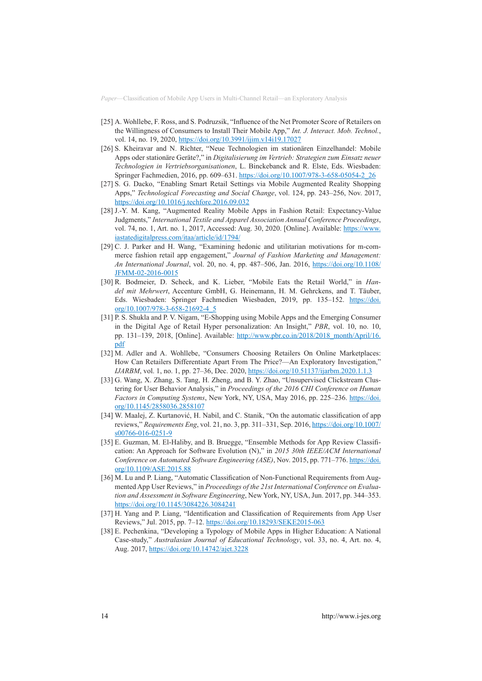- [25] A. Wohllebe, F. Ross, and S. Podruzsik, "Influence of the Net Promoter Score of Retailers on the Willingness of Consumers to Install Their Mobile App," *Int. J. Interact. Mob. Technol.*, vol. 14, no. 19, 2020, <https://doi.org/10.3991/ijim.v14i19.17027>
- [26] S. Kheiravar and N. Richter, "Neue Technologien im stationären Einzelhandel: Mobile Apps oder stationäre Geräte?," in *Digitalisierung im Vertrieb: Strategien zum Einsatz neuer Technologien in Vertriebsorganisationen*, L. Binckebanck and R. Elste, Eds. Wiesbaden: Springer Fachmedien, 2016, pp. 609–631. [https://doi.org/10.1007/978-3-658-05054-2\\_26](https://doi.org/10.1007/978-3-658-05054-2_26)
- [27] S. G. Dacko, "Enabling Smart Retail Settings via Mobile Augmented Reality Shopping Apps," *Technological Forecasting and Social Change*, vol. 124, pp. 243–256, Nov. 2017, <https://doi.org/10.1016/j.techfore.2016.09.032>
- [28] J.-Y. M. Kang, "Augmented Reality Mobile Apps in Fashion Retail: Expectancy-Value Judgments," *International Textile and Apparel Association Annual Conference Proceedings*, vol. 74, no. 1, Art. no. 1, 2017, Accessed: Aug. 30, 2020. [Online]. Available: [https://www.](https://www.iastatedigitalpress.com/itaa/article/id/1794/) [iastatedigitalpress.com/itaa/article/id/1794/](https://www.iastatedigitalpress.com/itaa/article/id/1794/)
- [29] C. J. Parker and H. Wang, "Examining hedonic and utilitarian motivations for m-commerce fashion retail app engagement," *Journal of Fashion Marketing and Management: An International Journal*, vol. 20, no. 4, pp. 487–506, Jan. 2016, [https://doi.org/10.1108/](https://doi.org/10.1108/JFMM-02-2016-0015) [JFMM-02-2016-0015](https://doi.org/10.1108/JFMM-02-2016-0015)
- [30] R. Bodmeier, D. Scheck, and K. Lieber, "Mobile Eats the Retail World," in *Handel mit Mehrwert*, Accenture GmbH, G. Heinemann, H. M. Gehrckens, and T. Täuber, Eds. Wiesbaden: Springer Fachmedien Wiesbaden, 2019, pp. 135–152. [https://doi.](https://doi.org/10.1007/978-3-658-21692-4_5) [org/10.1007/978-3-658-21692-4\\_5](https://doi.org/10.1007/978-3-658-21692-4_5)
- [31] P. S. Shukla and P. V. Nigam, "E-Shopping using Mobile Apps and the Emerging Consumer in the Digital Age of Retail Hyper personalization: An Insight," *PBR*, vol. 10, no. 10, pp. 131–139, 2018, [Online]. Available: [http://www.pbr.co.in/2018/2018\\_month/April/16.](http://www.pbr.co.in/2018/2018_month/April/16.pdf) [pdf](http://www.pbr.co.in/2018/2018_month/April/16.pdf)
- [32] M. Adler and A. Wohllebe, "Consumers Choosing Retailers On Online Marketplaces: How Can Retailers Differentiate Apart From The Price?—An Exploratory Investigation," *IJARBM*, vol. 1, no. 1, pp. 27–36, Dec. 2020, <https://doi.org/10.51137/ijarbm.2020.1.1.3>
- [33] G. Wang, X. Zhang, S. Tang, H. Zheng, and B. Y. Zhao, "Unsupervised Clickstream Clustering for User Behavior Analysis," in *Proceedings of the 2016 CHI Conference on Human Factors in Computing Systems*, New York, NY, USA, May 2016, pp. 225–236. [https://doi.](https://doi.org/10.1145/2858036.2858107) [org/10.1145/2858036.2858107](https://doi.org/10.1145/2858036.2858107)
- [34] W. Maalej, Z. Kurtanović, H. Nabil, and C. Stanik, "On the automatic classification of app reviews," *Requirements Eng*, vol. 21, no. 3, pp. 311–331, Sep. 2016, [https://doi.org/10.1007/](https://doi.org/10.1007/s00766-016-0251-9) [s00766-016-0251-9](https://doi.org/10.1007/s00766-016-0251-9)
- [35] E. Guzman, M. El-Haliby, and B. Bruegge, "Ensemble Methods for App Review Classification: An Approach for Software Evolution (N)," in *2015 30th IEEE/ACM International Conference on Automated Software Engineering (ASE)*, Nov. 2015, pp. 771–776. [https://doi.](https://doi.org/10.1109/ASE.2015.88) [org/10.1109/ASE.2015.88](https://doi.org/10.1109/ASE.2015.88)
- [36] M. Lu and P. Liang, "Automatic Classification of Non-Functional Requirements from Augmented App User Reviews," in *Proceedings of the 21st International Conference on Evaluation and Assessment in Software Engineering*, New York, NY, USA, Jun. 2017, pp. 344–353. <https://doi.org/10.1145/3084226.3084241>
- [37] H. Yang and P. Liang, "Identification and Classification of Requirements from App User Reviews," Jul. 2015, pp. 7–12. <https://doi.org/10.18293/SEKE2015-063>
- [38] E. Pechenkina, "Developing a Typology of Mobile Apps in Higher Education: A National Case-study," *Australasian Journal of Educational Technology*, vol. 33, no. 4, Art. no. 4, Aug. 2017,<https://doi.org/10.14742/ajet.3228>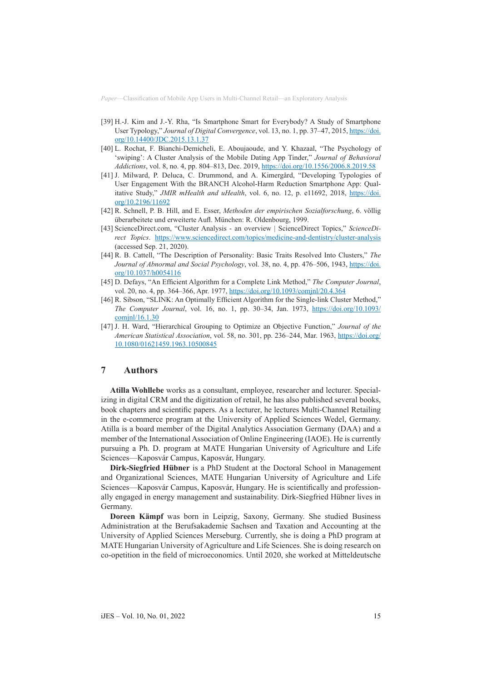- [39] H.-J. Kim and J.-Y. Rha, "Is Smartphone Smart for Everybody? A Study of Smartphone User Typology," *Journal of Digital Convergence*, vol. 13, no. 1, pp. 37–47, 2015, [https://doi.](https://doi.org/10.14400/JDC.2015.13.1.37) [org/10.14400/JDC.2015.13.1.37](https://doi.org/10.14400/JDC.2015.13.1.37)
- [40] L. Rochat, F. Bianchi-Demicheli, E. Aboujaoude, and Y. Khazaal, "The Psychology of 'swiping': A Cluster Analysis of the Mobile Dating App Tinder," *Journal of Behavioral Addictions*, vol. 8, no. 4, pp. 804–813, Dec. 2019,<https://doi.org/10.1556/2006.8.2019.58>
- [41] J. Milward, P. Deluca, C. Drummond, and A. Kimergård, "Developing Typologies of User Engagement With the BRANCH Alcohol-Harm Reduction Smartphone App: Qualitative Study," *JMIR mHealth and uHealth*, vol. 6, no. 12, p. e11692, 2018, [https://doi.](https://doi.org/10.2196/11692) [org/10.2196/11692](https://doi.org/10.2196/11692)
- [42] R. Schnell, P. B. Hill, and E. Esser, *Methoden der empirischen Sozialforschung*, 6. völlig überarbeitete und erweiterte Aufl. München: R. Oldenbourg, 1999.
- [43] ScienceDirect.com, "Cluster Analysis an overview | ScienceDirect Topics," *ScienceDirect Topics*. <https://www.sciencedirect.com/topics/medicine-and-dentistry/cluster-analysis> (accessed Sep. 21, 2020).
- [44] R. B. Cattell, "The Description of Personality: Basic Traits Resolved Into Clusters," *The*  Journal of Abnormal and Social Psychology, vol. 38, no. 4, pp. 476-506, 1943, [https://doi.](https://doi.org/10.1037/h0054116) [org/10.1037/h0054116](https://doi.org/10.1037/h0054116)
- [45] D. Defays, "An Efficient Algorithm for a Complete Link Method," *The Computer Journal*, vol. 20, no. 4, pp. 364–366, Apr. 1977,<https://doi.org/10.1093/comjnl/20.4.364>
- [46] R. Sibson, "SLINK: An Optimally Efficient Algorithm for the Single-link Cluster Method," *The Computer Journal*, vol. 16, no. 1, pp. 30–34, Jan. 1973, [https://doi.org/10.1093/](https://doi.org/10.1093/comjnl/16.1.30) [comjnl/16.1.30](https://doi.org/10.1093/comjnl/16.1.30)
- [47] J. H. Ward, "Hierarchical Grouping to Optimize an Objective Function," *Journal of the American Statistical Association*, vol. 58, no. 301, pp. 236–244, Mar. 1963, [https://doi.org/](https://doi.org/10.1080/01621459.1963.10500845) [10.1080/01621459.1963.10500845](https://doi.org/10.1080/01621459.1963.10500845)

## **7 Authors**

**Atilla Wohllebe** works as a consultant, employee, researcher and lecturer. Specializing in digital CRM and the digitization of retail, he has also published several books, book chapters and scientific papers. As a lecturer, he lectures Multi-Channel Retailing in the e-commerce program at the University of Applied Sciences Wedel, Germany. Atilla is a board member of the Digital Analytics Association Germany (DAA) and a member of the International Association of Online Engineering (IAOE). He is currently pursuing a Ph. D. program at MATE Hungarian University of Agriculture and Life Sciences—Kaposvár Campus, Kaposvár, Hungary.

**Dirk-Siegfried Hübner** is a PhD Student at the Doctoral School in Management and Organizational Sciences, MATE Hungarian University of Agriculture and Life Sciences—Kaposvár Campus, Kaposvár, Hungary. He is scientifically and professionally engaged in energy management and sustainability. Dirk-Siegfried Hübner lives in Germany.

**Doreen Kämpf** was born in Leipzig, Saxony, Germany. She studied Business Administration at the Berufsakademie Sachsen and Taxation and Accounting at the University of Applied Sciences Merseburg. Currently, she is doing a PhD program at MATE Hungarian University of Agriculture and Life Sciences. She is doing research on co-opetition in the field of microeconomics. Until 2020, she worked at Mitteldeutsche